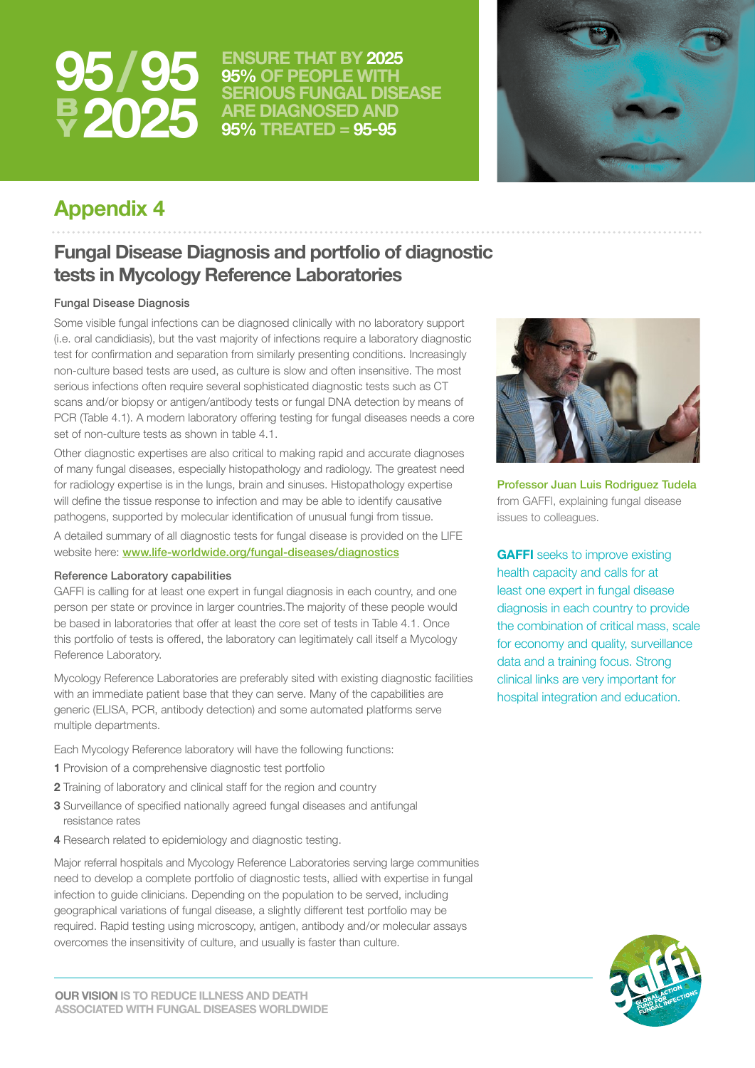

**/ ENSURE THAT BY 2025 95% OF PEOPLE WITH SERIOUS FUNGAL DISEASE ARE DIAGNOSED AND 95% TREATED = 95-95**



# **Appendix 4**

# **Fungal Disease Diagnosis and portfolio of diagnostic tests in Mycology Reference Laboratories**

# Fungal Disease Diagnosis

Some visible fungal infections can be diagnosed clinically with no laboratory support (i.e. oral candidiasis), but the vast majority of infections require a laboratory diagnostic test for confirmation and separation from similarly presenting conditions. Increasingly non-culture based tests are used, as culture is slow and often insensitive. The most serious infections often require several sophisticated diagnostic tests such as CT scans and/or biopsy or antigen/antibody tests or fungal DNA detection by means of PCR (Table 4.1). A modern laboratory offering testing for fungal diseases needs a core set of non-culture tests as shown in table 4.1.

Other diagnostic expertises are also critical to making rapid and accurate diagnoses of many fungal diseases, especially histopathology and radiology. The greatest need for radiology expertise is in the lungs, brain and sinuses. Histopathology expertise will define the tissue response to infection and may be able to identify causative pathogens, supported by molecular identification of unusual fungi from tissue. A detailed summary of all diagnostic tests for fungal disease is provided on the LIFE website here: [www.life-worldwide.org/fungal-diseases/diagnostics](http://www.life-worldwide.org/fungal-diseases/diagnostics)

### Reference Laboratory capabilities

GAFFI is calling for at least one expert in fungal diagnosis in each country, and one person per state or province in larger countries.The majority of these people would be based in laboratories that offer at least the core set of tests in Table 4.1. Once this portfolio of tests is offered, the laboratory can legitimately call itself a Mycology Reference Laboratory.

Mycology Reference Laboratories are preferably sited with existing diagnostic facilities with an immediate patient base that they can serve. Many of the capabilities are generic (ELISA, PCR, antibody detection) and some automated platforms serve multiple departments.

Each Mycology Reference laboratory will have the following functions:

- **1** Provision of a comprehensive diagnostic test portfolio
- **2** Training of laboratory and clinical staff for the region and country
- **3** Surveillance of specified nationally agreed fungal diseases and antifungal resistance rates
- **4** Research related to epidemiology and diagnostic testing.

Major referral hospitals and Mycology Reference Laboratories serving large communities need to develop a complete portfolio of diagnostic tests, allied with expertise in fungal infection to guide clinicians. Depending on the population to be served, including geographical variations of fungal disease, a slightly different test portfolio may be required. Rapid testing using microscopy, antigen, antibody and/or molecular assays overcomes the insensitivity of culture, and usually is faster than culture.



Professor Juan Luis Rodriguez Tudela from GAFFI, explaining fungal disease issues to colleagues.

**GAFFI** seeks to improve existing health capacity and calls for at least one expert in fungal disease diagnosis in each country to provide the combination of critical mass, scale for economy and quality, surveillance data and a training focus. Strong clinical links are very important for hospital integration and education.

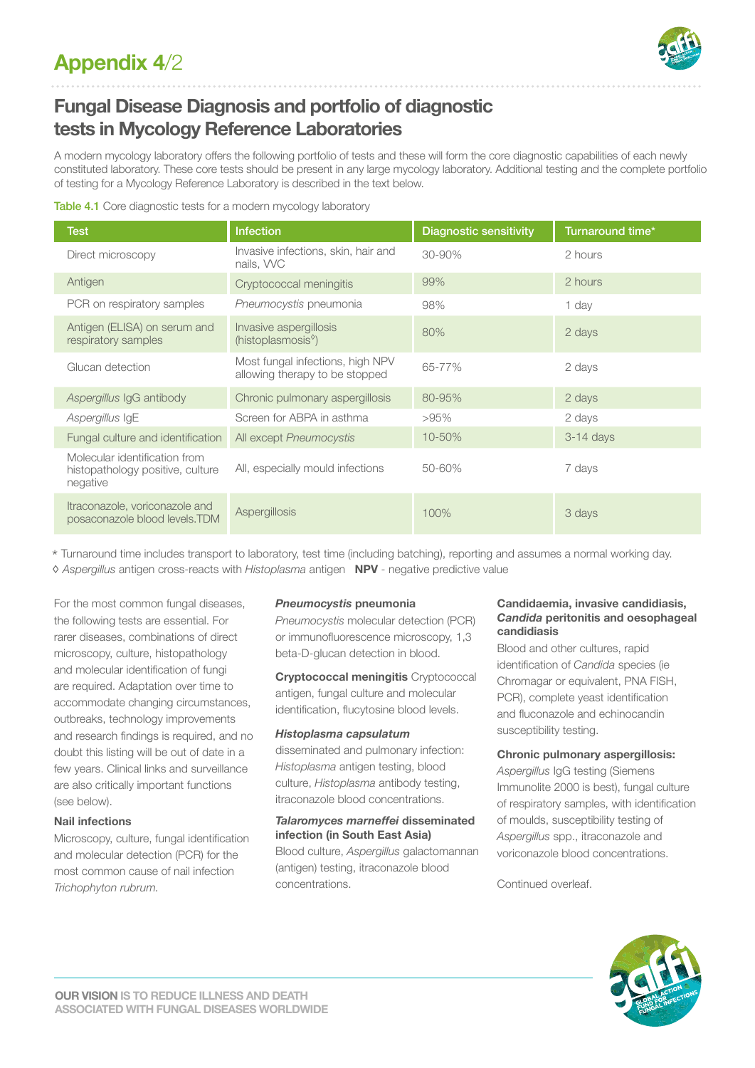

# **Fungal Disease Diagnosis and portfolio of diagnostic tests in Mycology Reference Laboratories**

A modern mycology laboratory offers the following portfolio of tests and these will form the core diagnostic capabilities of each newly constituted laboratory. These core tests should be present in any large mycology laboratory. Additional testing and the complete portfolio of testing for a Mycology Reference Laboratory is described in the text below.

| Table 4.1 Core diagnostic tests for a modern mycology laboratory |  |  |
|------------------------------------------------------------------|--|--|

| <b>Test</b>                                                                   | <b>Infection</b>                                                   | <b>Diagnostic sensitivity</b> | Turnaround time* |
|-------------------------------------------------------------------------------|--------------------------------------------------------------------|-------------------------------|------------------|
| Direct microscopy                                                             | Invasive infections, skin, hair and<br>nails, WC                   | 30-90%                        | 2 hours          |
| Antigen                                                                       | Cryptococcal meningitis                                            | 99%                           | 2 hours          |
| PCR on respiratory samples                                                    | Pneumocystis pneumonia                                             | 98%                           | 1 day            |
| Antigen (ELISA) on serum and<br>respiratory samples                           | Invasive aspergillosis<br>(histoplasmosis <sup>®</sup> )           | 80%                           | 2 days           |
| Glucan detection                                                              | Most fungal infections, high NPV<br>allowing therapy to be stopped | 65-77%                        | 2 days           |
| Aspergillus IgG antibody                                                      | Chronic pulmonary aspergillosis                                    | 80-95%                        | 2 days           |
| Aspergillus IgE                                                               | Screen for ABPA in asthma                                          | $>95\%$                       | 2 days           |
| Fungal culture and identification                                             | All except Pneumocystis                                            | 10-50%                        | $3-14$ days      |
| Molecular identification from<br>histopathology positive, culture<br>negative | All, especially mould infections                                   | 50-60%                        | 7 days           |
| Itraconazole, voriconazole and<br>posaconazole blood levels.TDM               | Aspergillosis                                                      | 100%                          | 3 days           |

\* Turnaround time includes transport to laboratory, test time (including batching), reporting and assumes a normal working day. ◊ *Aspergillus* antigen cross-reacts with *Histoplasma* antigen **NPV** - negative predictive value

For the most common fungal diseases, the following tests are essential. For rarer diseases, combinations of direct microscopy, culture, histopathology and molecular identification of fungi are required. Adaptation over time to accommodate changing circumstances, outbreaks, technology improvements and research findings is required, and no doubt this listing will be out of date in a few years. Clinical links and surveillance are also critically important functions (see below).

# **Nail infections**

Microscopy, culture, fungal identification and molecular detection (PCR) for the most common cause of nail infection *Trichophyton rubrum.* 

### *Pneumocystis* **pneumonia**

*Pneumocystis* molecular detection (PCR) or immunofluorescence microscopy, 1,3 beta-D-glucan detection in blood.

**Cryptococcal meningitis** Cryptococcal antigen, fungal culture and molecular identification, flucytosine blood levels.

# *Histoplasma capsulatum*

disseminated and pulmonary infection: *Histoplasma* antigen testing, blood culture, *Histoplasma* antibody testing, itraconazole blood concentrations.

# *Talaromyces marneffei* **disseminated infection (in South East Asia)** Blood culture, *Aspergillus* galactomannan (antigen) testing, itraconazole blood

concentrations.

### **Candidaemia, invasive candidiasis,**  *Candida* **peritonitis and oesophageal candidiasis**

Blood and other cultures, rapid identification of *Candida* species (ie Chromagar or equivalent, PNA FISH, PCR), complete yeast identification and fluconazole and echinocandin susceptibility testing.

# **Chronic pulmonary aspergillosis:**

*Aspergillus* IgG testing (Siemens Immunolite 2000 is best), fungal culture of respiratory samples, with identification of moulds, susceptibility testing of *Aspergillus* spp., itraconazole and voriconazole blood concentrations.

Continued overleaf.